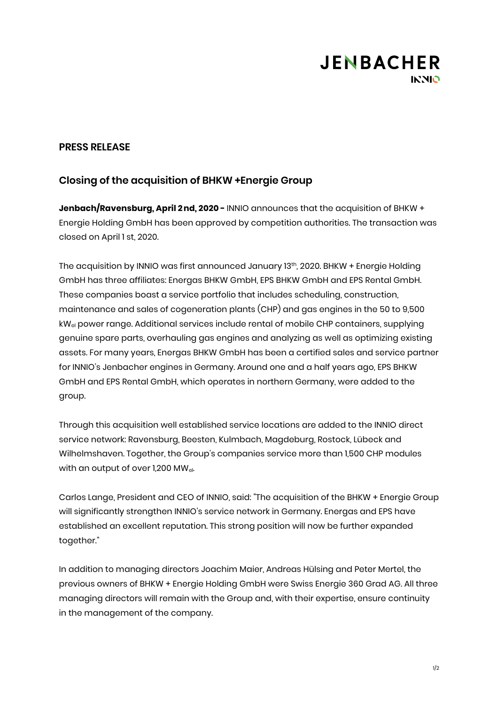# **JENBACHER INNIO**

### **PRESS RELEASE**

### **Closing of the acquisition of BHKW +Energie Group**

**Jenbach/Ravensburg, April 2nd, 2020 -** INNIO announces that the acquisition of BHKW + Energie Holding GmbH has been approved by competition authorities. The transaction was closed on April 1 st, 2020.

The acquisition by INNIO was first announced January 13th, 2020. BHKW + Energie Holding GmbH has three affiliates: Energas BHKW GmbH, EPS BHKW GmbH and EPS Rental GmbH. These companies boast a service portfolio that includes scheduling, construction, maintenance and sales of cogeneration plants (CHP) and gas engines in the 50 to 9,500 kWel power range. Additional services include rental of mobile CHP containers, supplying genuine spare parts, overhauling gas engines and analyzing as well as optimizing existing assets. For many years, Energas BHKW GmbH has been a certified sales and service partner for INNIO's Jenbacher engines in Germany. Around one and a half years ago, EPS BHKW GmbH and EPS Rental GmbH, which operates in northern Germany, were added to the group.

Through this acquisition well established service locations are added to the INNIO direct service network: Ravensburg, Beesten, Kulmbach, Magdeburg, Rostock, Lübeck and Wilhelmshaven. Together, the Group's companies service more than 1,500 CHP modules with an output of over 1,200 MW<sub>el</sub>.

Carlos Lange, President and CEO of INNIO, said: "The acquisition of the BHKW + Energie Group will significantly strengthen INNIO's service network in Germany. Energas and EPS have established an excellent reputation. This strong position will now be further expanded together."

In addition to managing directors Joachim Maier, Andreas Hülsing and Peter Mertel, the previous owners of BHKW + Energie Holding GmbH were Swiss Energie 360 Grad AG. All three managing directors will remain with the Group and, with their expertise, ensure continuity in the management of the company.